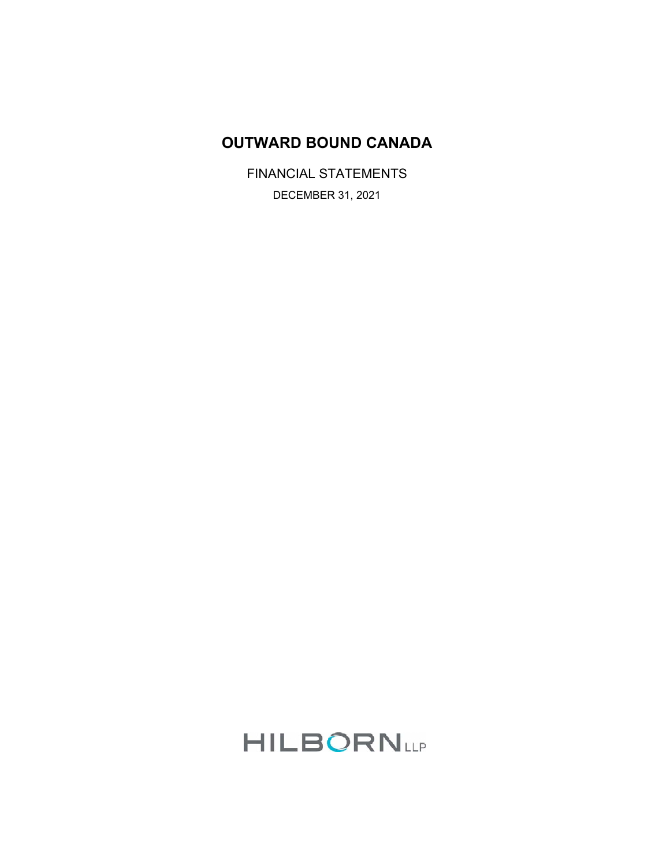FINANCIAL STATEMENTS DECEMBER 31, 2021

# **HILBORNLLP**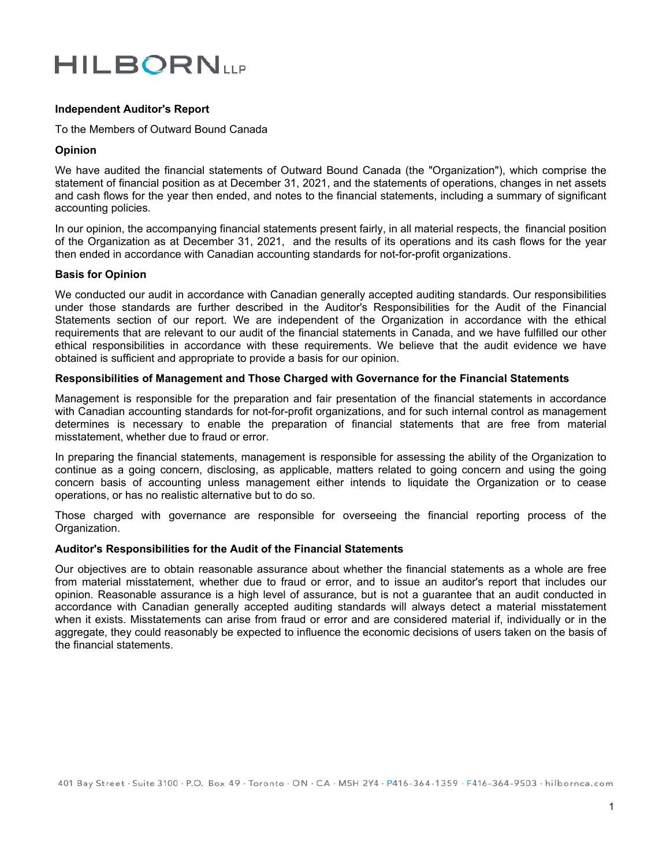# **HILBORNLLP**

#### **Independent Auditor's Report**

To the Members of Outward Bound Canada

#### **Opinion**

We have audited the financial statements of Outward Bound Canada (the "Organization"), which comprise the statement of financial position as at December 31, 2021, and the statements of operations, changes in net assets and cash flows for the year then ended, and notes to the financial statements, including a summary of significant accounting policies*.*

In our opinion, the accompanying financial statements present fairly, in all material respects, the financial position of the Organization as at December 31, 2021, and the results of its operations and its cash flows for the year then ended in accordance with Canadian accounting standards for not-for-profit organizations.

#### **Basis for Opinion**

We conducted our audit in accordance with Canadian generally accepted auditing standards. Our responsibilities under those standards are further described in the Auditor's Responsibilities for the Audit of the Financial Statements section of our report. We are independent of the Organization in accordance with the ethical requirements that are relevant to our audit of the financial statements in Canada, and we have fulfilled our other ethical responsibilities in accordance with these requirements. We believe that the audit evidence we have obtained is sufficient and appropriate to provide a basis for our opinion.

#### **Responsibilities of Management and Those Charged with Governance for the Financial Statements**

Management is responsible for the preparation and fair presentation of the financial statements in accordance with Canadian accounting standards for not-for-profit organizations, and for such internal control as management determines is necessary to enable the preparation of financial statements that are free from material misstatement, whether due to fraud or error.

In preparing the financial statements, management is responsible for assessing the ability of the Organization to continue as a going concern, disclosing, as applicable, matters related to going concern and using the going concern basis of accounting unless management either intends to liquidate the Organization or to cease operations, or has no realistic alternative but to do so.

Those charged with governance are responsible for overseeing the financial reporting process of the Organization.

#### **Auditor's Responsibilities for the Audit of the Financial Statements**

Our objectives are to obtain reasonable assurance about whether the financial statements as a whole are free from material misstatement, whether due to fraud or error, and to issue an auditor's report that includes our opinion. Reasonable assurance is a high level of assurance, but is not a guarantee that an audit conducted in accordance with Canadian generally accepted auditing standards will always detect a material misstatement when it exists. Misstatements can arise from fraud or error and are considered material if, individually or in the aggregate, they could reasonably be expected to influence the economic decisions of users taken on the basis of the financial statements.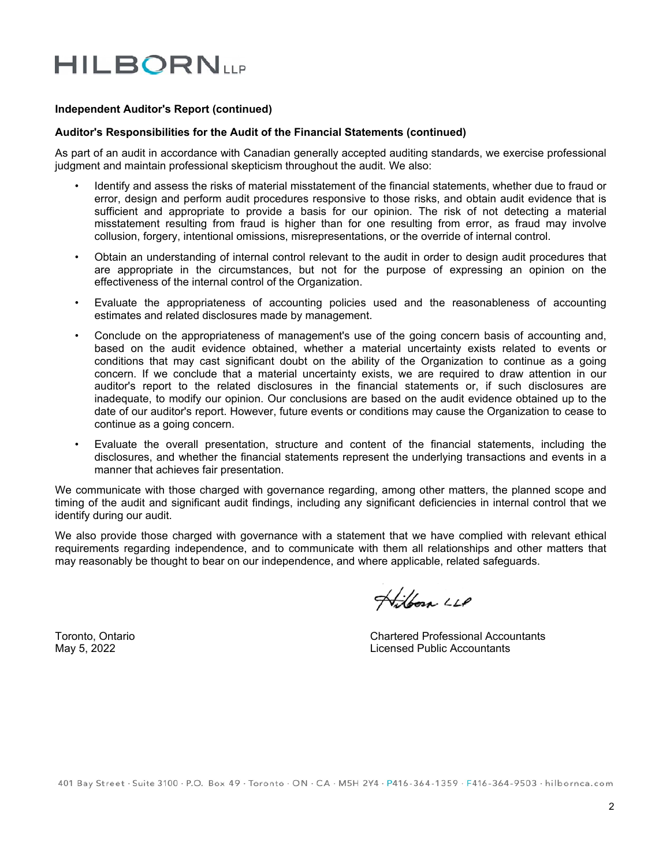# **HILBORNLLP**

#### **Independent Auditor's Report (continued)**

#### **Auditor's Responsibilities for the Audit of the Financial Statements (continued)**

As part of an audit in accordance with Canadian generally accepted auditing standards, we exercise professional judgment and maintain professional skepticism throughout the audit. We also:

- Identify and assess the risks of material misstatement of the financial statements, whether due to fraud or error, design and perform audit procedures responsive to those risks, and obtain audit evidence that is sufficient and appropriate to provide a basis for our opinion. The risk of not detecting a material misstatement resulting from fraud is higher than for one resulting from error, as fraud may involve collusion, forgery, intentional omissions, misrepresentations, or the override of internal control.
- Obtain an understanding of internal control relevant to the audit in order to design audit procedures that are appropriate in the circumstances, but not for the purpose of expressing an opinion on the effectiveness of the internal control of the Organization.
- Evaluate the appropriateness of accounting policies used and the reasonableness of accounting estimates and related disclosures made by management.
- Conclude on the appropriateness of management's use of the going concern basis of accounting and, based on the audit evidence obtained, whether a material uncertainty exists related to events or conditions that may cast significant doubt on the ability of the Organization to continue as a going concern. If we conclude that a material uncertainty exists, we are required to draw attention in our auditor's report to the related disclosures in the financial statements or, if such disclosures are inadequate, to modify our opinion. Our conclusions are based on the audit evidence obtained up to the date of our auditor's report. However, future events or conditions may cause the Organization to cease to continue as a going concern.
- Evaluate the overall presentation, structure and content of the financial statements, including the disclosures, and whether the financial statements represent the underlying transactions and events in a manner that achieves fair presentation.

We communicate with those charged with governance regarding, among other matters, the planned scope and timing of the audit and significant audit findings, including any significant deficiencies in internal control that we identify during our audit.

We also provide those charged with governance with a statement that we have complied with relevant ethical requirements regarding independence, and to communicate with them all relationships and other matters that may reasonably be thought to bear on our independence, and where applicable, related safeguards.

Hilborn LLP

Toronto, Ontario Chartered Professional Accountants May 5, 2022 Licensed Public Accountants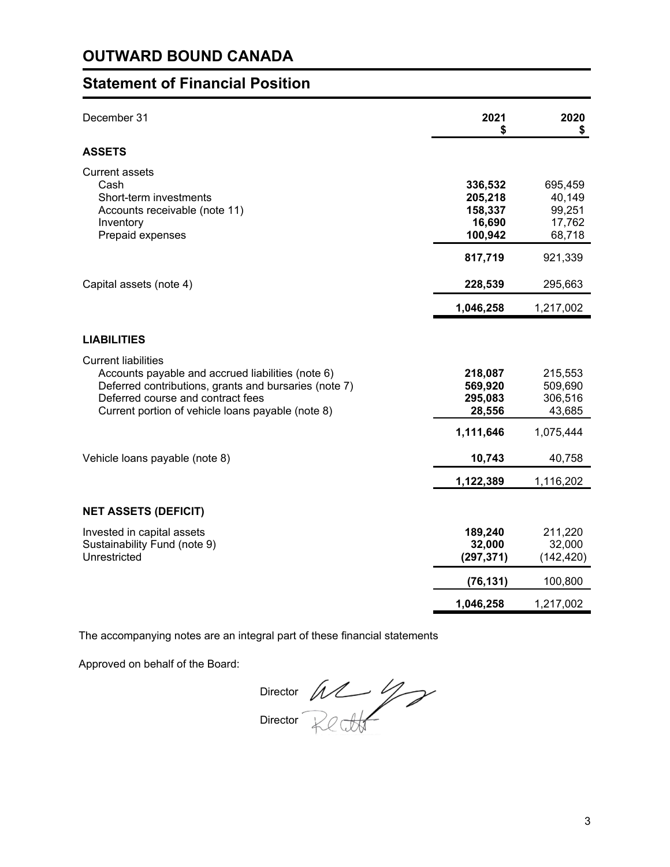### **Statement of Financial Position**

| December 31                                                                                                                                                                                                                        | 2021<br>\$                                         | 2020<br>\$                                      |
|------------------------------------------------------------------------------------------------------------------------------------------------------------------------------------------------------------------------------------|----------------------------------------------------|-------------------------------------------------|
| <b>ASSETS</b>                                                                                                                                                                                                                      |                                                    |                                                 |
| <b>Current assets</b><br>Cash<br>Short-term investments<br>Accounts receivable (note 11)<br>Inventory<br>Prepaid expenses                                                                                                          | 336,532<br>205,218<br>158,337<br>16,690<br>100,942 | 695,459<br>40,149<br>99,251<br>17,762<br>68,718 |
|                                                                                                                                                                                                                                    | 817,719                                            | 921,339                                         |
| Capital assets (note 4)                                                                                                                                                                                                            | 228,539                                            | 295,663                                         |
|                                                                                                                                                                                                                                    | 1,046,258                                          | 1,217,002                                       |
| <b>LIABILITIES</b>                                                                                                                                                                                                                 |                                                    |                                                 |
| <b>Current liabilities</b><br>Accounts payable and accrued liabilities (note 6)<br>Deferred contributions, grants and bursaries (note 7)<br>Deferred course and contract fees<br>Current portion of vehicle loans payable (note 8) | 218,087<br>569,920<br>295,083<br>28,556            | 215,553<br>509,690<br>306,516<br>43,685         |
|                                                                                                                                                                                                                                    | 1,111,646                                          | 1,075,444                                       |
| Vehicle loans payable (note 8)                                                                                                                                                                                                     | 10,743                                             | 40,758                                          |
|                                                                                                                                                                                                                                    | 1,122,389                                          | 1,116,202                                       |
| <b>NET ASSETS (DEFICIT)</b>                                                                                                                                                                                                        |                                                    |                                                 |
| Invested in capital assets<br>Sustainability Fund (note 9)<br>Unrestricted                                                                                                                                                         | 189,240<br>32,000<br>(297, 371)                    | 211,220<br>32,000<br>(142, 420)                 |
|                                                                                                                                                                                                                                    | (76, 131)                                          | 100,800                                         |
|                                                                                                                                                                                                                                    | 1,046,258                                          | 1,217,002                                       |

The accompanying notes are an integral part of these financial statements

Approved on behalf of the Board:

Director Director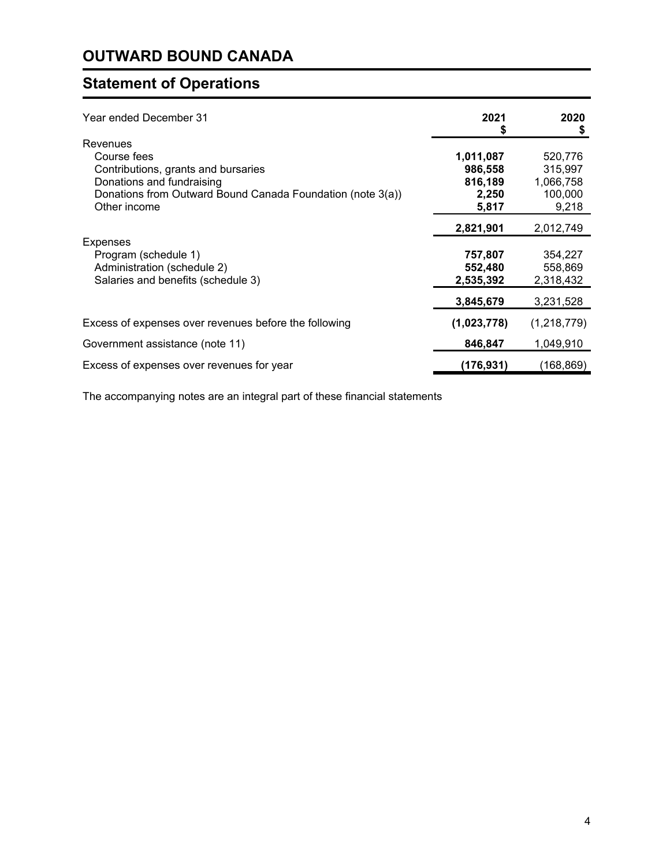### **Statement of Operations**

| Year ended December 31                                     | 2021<br>S   | 2020<br>5   |
|------------------------------------------------------------|-------------|-------------|
| Revenues                                                   |             |             |
| Course fees                                                | 1,011,087   | 520,776     |
| Contributions, grants and bursaries                        | 986,558     | 315,997     |
| Donations and fundraising                                  | 816,189     | 1,066,758   |
| Donations from Outward Bound Canada Foundation (note 3(a)) | 2,250       | 100,000     |
| Other income                                               | 5,817       | 9,218       |
|                                                            | 2,821,901   | 2,012,749   |
| <b>Expenses</b>                                            |             |             |
| Program (schedule 1)                                       | 757,807     | 354,227     |
| Administration (schedule 2)                                | 552,480     | 558,869     |
| Salaries and benefits (schedule 3)                         | 2,535,392   | 2,318,432   |
|                                                            | 3,845,679   | 3,231,528   |
| Excess of expenses over revenues before the following      | (1,023,778) | (1,218,779) |
| Government assistance (note 11)                            | 846,847     | 1,049,910   |
| Excess of expenses over revenues for year                  | (176, 931)  | (168, 869)  |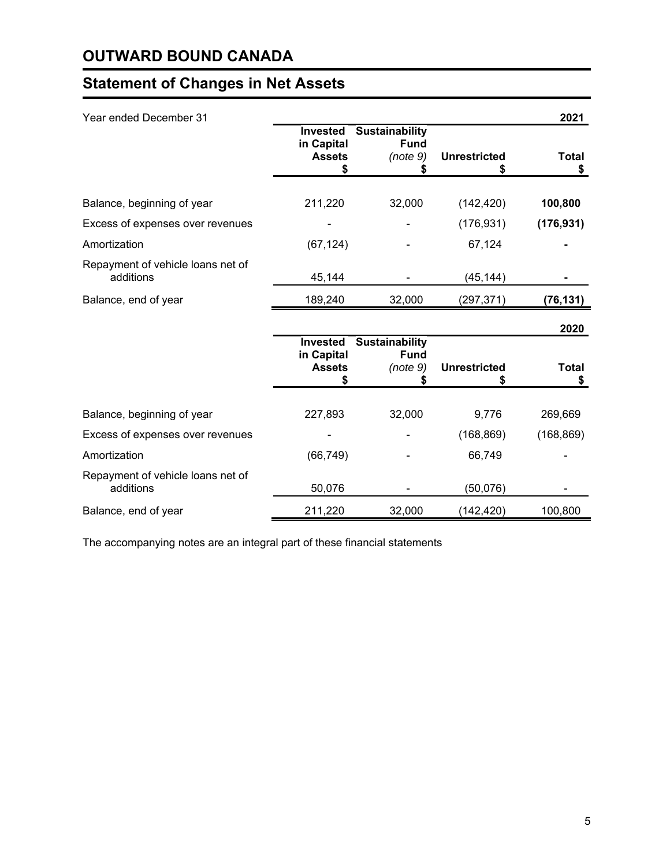### **Statement of Changes in Net Assets**

| Year ended December 31                         |                                                     |                                                  |                     | 2021               |
|------------------------------------------------|-----------------------------------------------------|--------------------------------------------------|---------------------|--------------------|
|                                                | <b>Invested</b><br>in Capital<br><b>Assets</b><br>S | <b>Sustainability</b><br><b>Fund</b><br>(note 9) | <b>Unrestricted</b> | <b>Total</b><br>\$ |
| Balance, beginning of year                     | 211,220                                             | 32,000                                           | (142, 420)          | 100,800            |
| Excess of expenses over revenues               |                                                     |                                                  | (176, 931)          | (176, 931)         |
| Amortization                                   | (67, 124)                                           |                                                  | 67,124              |                    |
| Repayment of vehicle loans net of<br>additions | 45,144                                              |                                                  | (45, 144)           |                    |
| Balance, end of year                           | 189,240                                             | 32,000                                           | (297, 371)          | (76, 131)          |
|                                                |                                                     |                                                  |                     | 2020               |
|                                                | Invested<br>in Capital<br><b>Assets</b><br>\$       | <b>Sustainability</b><br><b>Fund</b><br>(note 9) | <b>Unrestricted</b> | <b>Total</b><br>\$ |
| Balance, beginning of year                     | 227,893                                             | 32,000                                           | 9,776               | 269,669            |
| Excess of expenses over revenues               |                                                     |                                                  | (168, 869)          | (168, 869)         |
| Amortization                                   | (66, 749)                                           |                                                  | 66,749              |                    |
| Repayment of vehicle loans net of<br>additions | 50,076                                              |                                                  | (50,076)            |                    |
| Balance, end of year                           | 211,220                                             | 32,000                                           | (142,420)           | 100,800            |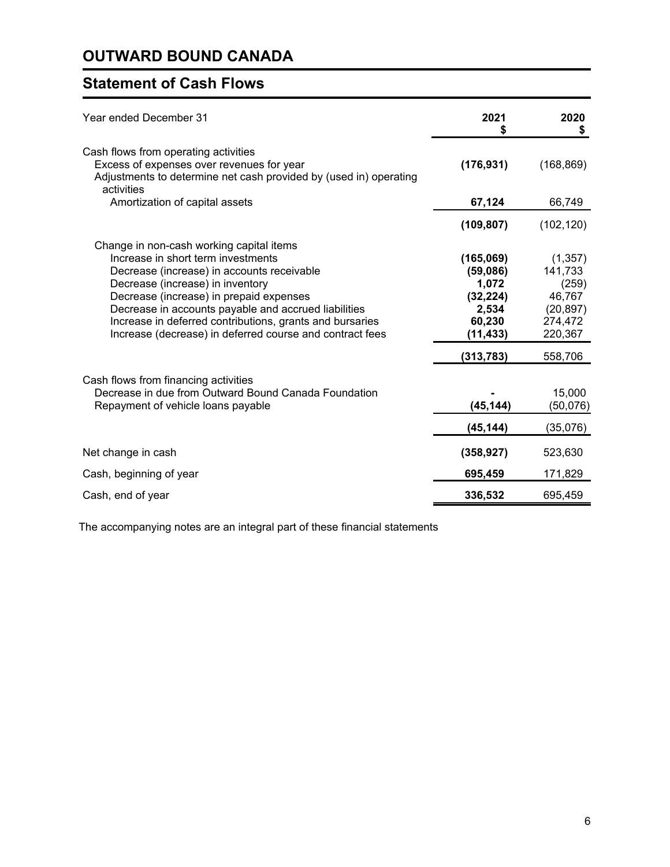### **Statement of Cash Flows**

| Year ended December 31                                                                                                                                                                                                                                                                                                                                                                      | 2021                                                                                      | 2020<br>\$                                                                          |
|---------------------------------------------------------------------------------------------------------------------------------------------------------------------------------------------------------------------------------------------------------------------------------------------------------------------------------------------------------------------------------------------|-------------------------------------------------------------------------------------------|-------------------------------------------------------------------------------------|
| Cash flows from operating activities<br>Excess of expenses over revenues for year<br>Adjustments to determine net cash provided by (used in) operating<br>activities                                                                                                                                                                                                                        | (176, 931)                                                                                | (168, 869)                                                                          |
| Amortization of capital assets                                                                                                                                                                                                                                                                                                                                                              | 67,124                                                                                    | 66,749                                                                              |
|                                                                                                                                                                                                                                                                                                                                                                                             | (109, 807)                                                                                | (102, 120)                                                                          |
| Change in non-cash working capital items<br>Increase in short term investments<br>Decrease (increase) in accounts receivable<br>Decrease (increase) in inventory<br>Decrease (increase) in prepaid expenses<br>Decrease in accounts payable and accrued liabilities<br>Increase in deferred contributions, grants and bursaries<br>Increase (decrease) in deferred course and contract fees | (165,069)<br>(59,086)<br>1,072<br>(32, 224)<br>2,534<br>60,230<br>(11, 433)<br>(313, 783) | (1,357)<br>141,733<br>(259)<br>46,767<br>(20, 897)<br>274,472<br>220,367<br>558,706 |
| Cash flows from financing activities<br>Decrease in due from Outward Bound Canada Foundation<br>Repayment of vehicle loans payable                                                                                                                                                                                                                                                          | (45, 144)<br>(45,144)                                                                     | 15,000<br>(50,076)<br>(35,076)                                                      |
| Net change in cash                                                                                                                                                                                                                                                                                                                                                                          | (358, 927)                                                                                | 523,630                                                                             |
| Cash, beginning of year                                                                                                                                                                                                                                                                                                                                                                     | 695,459                                                                                   | 171,829                                                                             |
| Cash, end of year                                                                                                                                                                                                                                                                                                                                                                           | 336,532                                                                                   | 695,459                                                                             |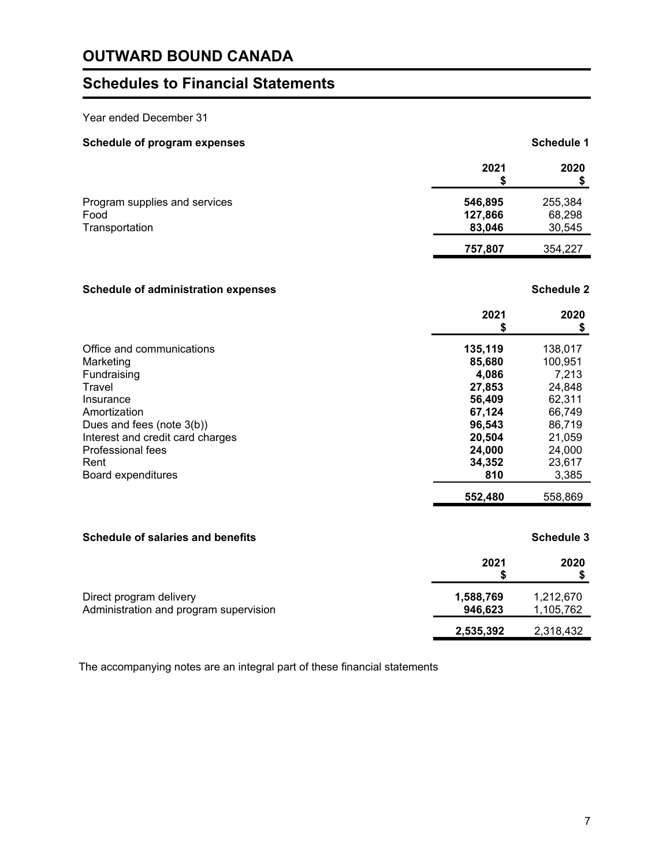### **Schedules to Financial Statements**

Year ended December 31

#### **Schedule of program expenses Schedule 1** and the state of program expenses

|                               | 2021    | 2020    |
|-------------------------------|---------|---------|
| Program supplies and services | 546,895 | 255,384 |
| Food                          | 127,866 | 68,298  |
| Transportation                | 83,046  | 30,545  |
|                               | 757,807 | 354,227 |

#### **Schedule of administration expenses Schedule 2** and Schedule 2

|                                  | 2021<br>\$ | 2020    |
|----------------------------------|------------|---------|
| Office and communications        | 135,119    | 138,017 |
| Marketing                        | 85,680     | 100,951 |
| Fundraising                      | 4,086      | 7,213   |
| Travel                           | 27,853     | 24,848  |
| Insurance                        | 56,409     | 62,311  |
| Amortization                     | 67,124     | 66,749  |
| Dues and fees (note $3(b)$ )     | 96.543     | 86.719  |
| Interest and credit card charges | 20.504     | 21,059  |
| Professional fees                | 24,000     | 24,000  |
| Rent                             | 34,352     | 23,617  |
| Board expenditures               | 810        | 3,385   |
|                                  | 552,480    | 558.869 |

#### **Schedule of salaries and benefits Schedule 3** Schedule 3

#### **2021 \$ 2020 \$** Direct program delivery **1,588,769** 1,212,670<br>Administration and program supervision **1,105,762** 1,105,762 Administration and program supervision **2,535,392** 2,318,432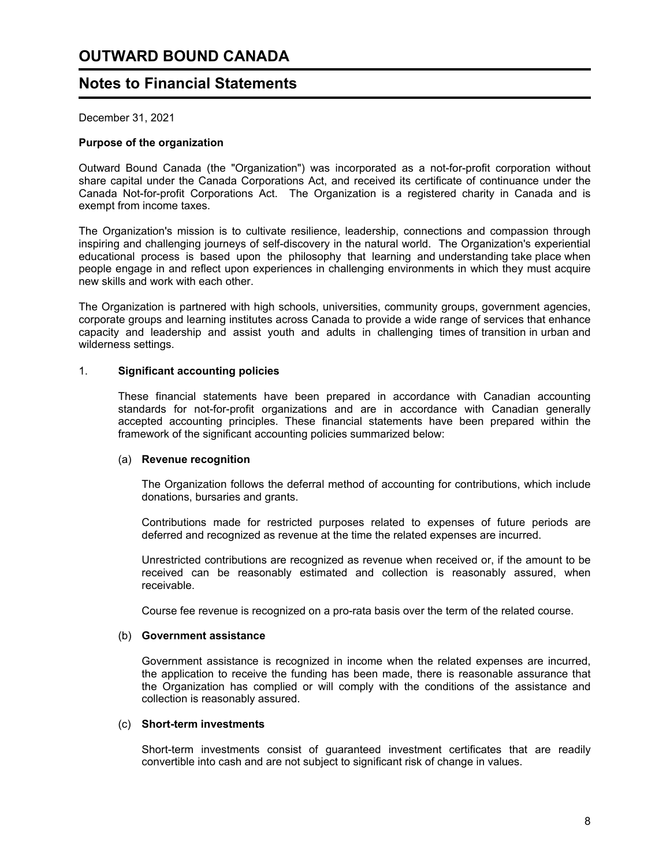### **Notes to Financial Statements**

December 31, 2021

#### **Purpose of the organization**

Outward Bound Canada (the "Organization") was incorporated as a not-for-profit corporation without share capital under the Canada Corporations Act, and received its certificate of continuance under the Canada Not-for-profit Corporations Act. The Organization is a registered charity in Canada and is exempt from income taxes.

The Organization's mission is to cultivate resilience, leadership, connections and compassion through inspiring and challenging journeys of self-discovery in the natural world. The Organization's experiential educational process is based upon the philosophy that learning and understanding take place when people engage in and reflect upon experiences in challenging environments in which they must acquire new skills and work with each other.

The Organization is partnered with high schools, universities, community groups, government agencies, corporate groups and learning institutes across Canada to provide a wide range of services that enhance capacity and leadership and assist youth and adults in challenging times of transition in urban and wilderness settings.

#### 1. **Significant accounting policies**

These financial statements have been prepared in accordance with Canadian accounting standards for not-for-profit organizations and are in accordance with Canadian generally accepted accounting principles. These financial statements have been prepared within the framework of the significant accounting policies summarized below:

#### (a) **Revenue recognition**

The Organization follows the deferral method of accounting for contributions, which include donations, bursaries and grants.

Contributions made for restricted purposes related to expenses of future periods are deferred and recognized as revenue at the time the related expenses are incurred.

Unrestricted contributions are recognized as revenue when received or, if the amount to be received can be reasonably estimated and collection is reasonably assured, when receivable.

Course fee revenue is recognized on a pro-rata basis over the term of the related course.

#### (b) **Government assistance**

Government assistance is recognized in income when the related expenses are incurred, the application to receive the funding has been made, there is reasonable assurance that the Organization has complied or will comply with the conditions of the assistance and collection is reasonably assured.

#### (c) **Short-term investments**

Short-term investments consist of guaranteed investment certificates that are readily convertible into cash and are not subject to significant risk of change in values.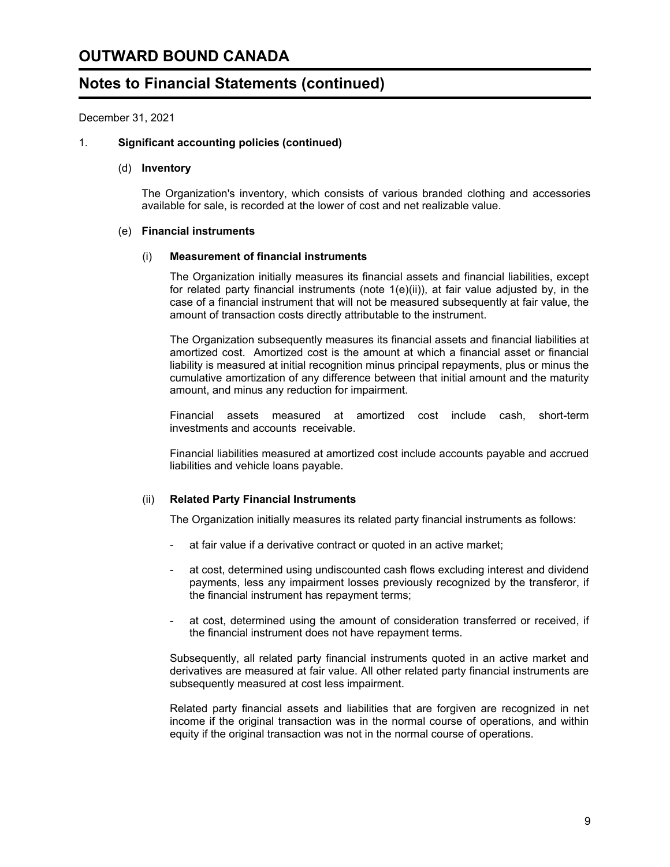### **Notes to Financial Statements (continued)**

December 31, 2021

#### 1. **Significant accounting policies (continued)**

#### (d) **Inventory**

The Organization's inventory, which consists of various branded clothing and accessories available for sale, is recorded at the lower of cost and net realizable value.

#### (e) **Financial instruments**

#### (i) **Measurement of financial instruments**

The Organization initially measures its financial assets and financial liabilities, except for related party financial instruments (note 1(e)(ii)), at fair value adjusted by, in the case of a financial instrument that will not be measured subsequently at fair value, the amount of transaction costs directly attributable to the instrument.

The Organization subsequently measures its financial assets and financial liabilities at amortized cost. Amortized cost is the amount at which a financial asset or financial liability is measured at initial recognition minus principal repayments, plus or minus the cumulative amortization of any difference between that initial amount and the maturity amount, and minus any reduction for impairment.

Financial assets measured at amortized cost include cash, short-term investments and accounts receivable.

Financial liabilities measured at amortized cost include accounts payable and accrued liabilities and vehicle loans payable.

#### (ii) **Related Party Financial Instruments**

The Organization initially measures its related party financial instruments as follows:

- at fair value if a derivative contract or quoted in an active market;
- at cost, determined using undiscounted cash flows excluding interest and dividend payments, less any impairment losses previously recognized by the transferor, if the financial instrument has repayment terms;
- at cost, determined using the amount of consideration transferred or received, if the financial instrument does not have repayment terms.

Subsequently, all related party financial instruments quoted in an active market and derivatives are measured at fair value. All other related party financial instruments are subsequently measured at cost less impairment.

Related party financial assets and liabilities that are forgiven are recognized in net income if the original transaction was in the normal course of operations, and within equity if the original transaction was not in the normal course of operations.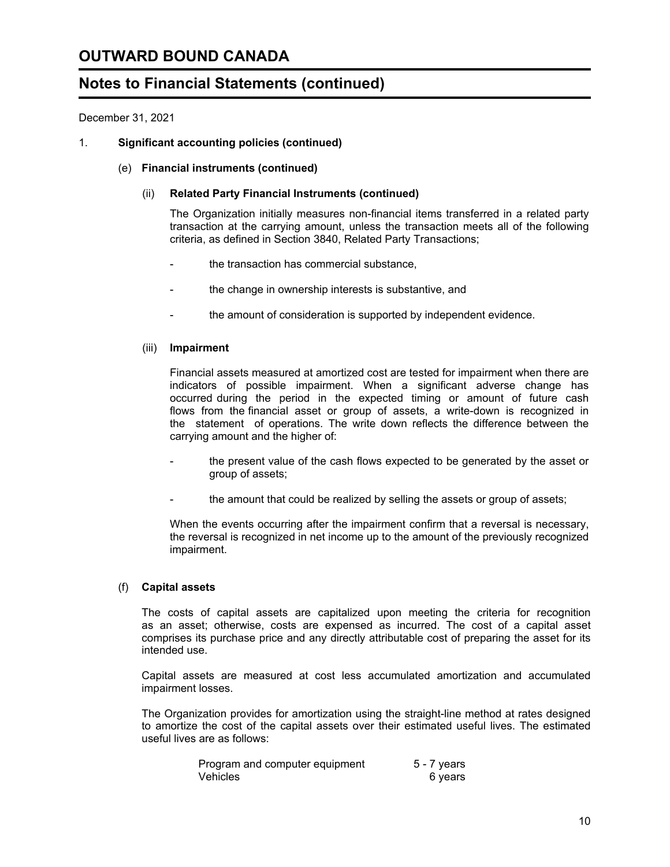### **Notes to Financial Statements (continued)**

December 31, 2021

1. **Significant accounting policies (continued)**

#### (e) **Financial instruments (continued)**

#### (ii) **Related Party Financial Instruments (continued)**

The Organization initially measures non-financial items transferred in a related party transaction at the carrying amount, unless the transaction meets all of the following criteria, as defined in Section 3840, Related Party Transactions;

- the transaction has commercial substance.
- the change in ownership interests is substantive, and
- the amount of consideration is supported by independent evidence.

#### (iii) **Impairment**

Financial assets measured at amortized cost are tested for impairment when there are indicators of possible impairment. When a significant adverse change has occurred during the period in the expected timing or amount of future cash flows from the financial asset or group of assets, a write-down is recognized in the statement of operations. The write down reflects the difference between the carrying amount and the higher of:

- the present value of the cash flows expected to be generated by the asset or group of assets;
- the amount that could be realized by selling the assets or group of assets;

When the events occurring after the impairment confirm that a reversal is necessary, the reversal is recognized in net income up to the amount of the previously recognized impairment.

#### (f) **Capital assets**

The costs of capital assets are capitalized upon meeting the criteria for recognition as an asset; otherwise, costs are expensed as incurred. The cost of a capital asset comprises its purchase price and any directly attributable cost of preparing the asset for its intended use.

Capital assets are measured at cost less accumulated amortization and accumulated impairment losses.

The Organization provides for amortization using the straight-line method at rates designed to amortize the cost of the capital assets over their estimated useful lives. The estimated useful lives are as follows:

| Program and computer equipment | 5 - 7 years |
|--------------------------------|-------------|
| Vehicles                       | 6 years     |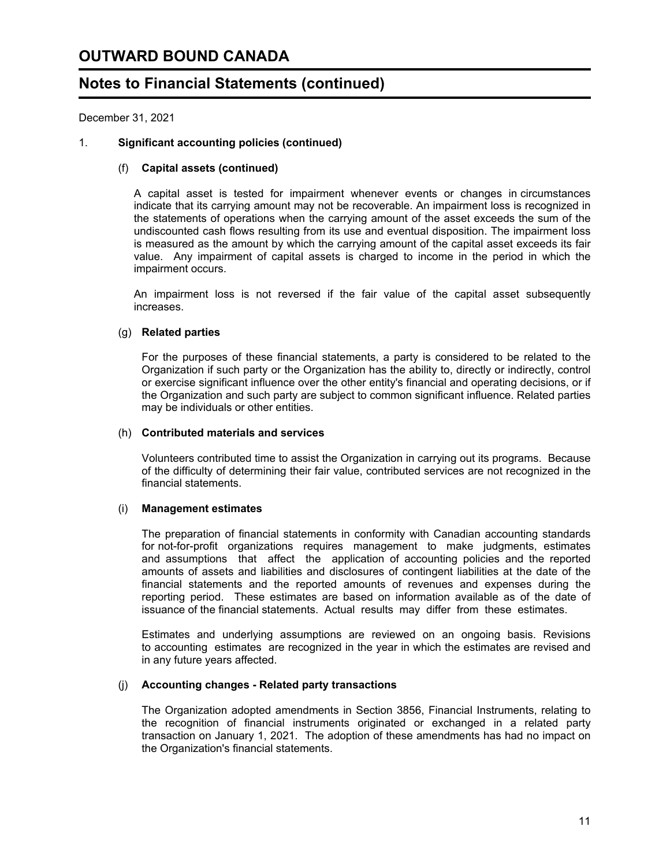### **Notes to Financial Statements (continued)**

#### December 31, 2021

#### 1. **Significant accounting policies (continued)**

#### (f) **Capital assets (continued)**

A capital asset is tested for impairment whenever events or changes in circumstances indicate that its carrying amount may not be recoverable. An impairment loss is recognized in the statements of operations when the carrying amount of the asset exceeds the sum of the undiscounted cash flows resulting from its use and eventual disposition. The impairment loss is measured as the amount by which the carrying amount of the capital asset exceeds its fair value. Any impairment of capital assets is charged to income in the period in which the impairment occurs.

An impairment loss is not reversed if the fair value of the capital asset subsequently increases.

#### (g) **Related parties**

For the purposes of these financial statements, a party is considered to be related to the Organization if such party or the Organization has the ability to, directly or indirectly, control or exercise significant influence over the other entity's financial and operating decisions, or if the Organization and such party are subject to common significant influence. Related parties may be individuals or other entities.

#### (h) **Contributed materials and services**

Volunteers contributed time to assist the Organization in carrying out its programs. Because of the difficulty of determining their fair value, contributed services are not recognized in the financial statements.

#### (i) **Management estimates**

The preparation of financial statements in conformity with Canadian accounting standards for not-for-profit organizations requires management to make judgments, estimates and assumptions that affect the application of accounting policies and the reported amounts of assets and liabilities and disclosures of contingent liabilities at the date of the financial statements and the reported amounts of revenues and expenses during the reporting period. These estimates are based on information available as of the date of issuance of the financial statements. Actual results may differ from these estimates.

Estimates and underlying assumptions are reviewed on an ongoing basis. Revisions to accounting estimates are recognized in the year in which the estimates are revised and in any future years affected.

#### (j) **Accounting changes - Related party transactions**

The Organization adopted amendments in Section 3856, Financial Instruments, relating to the recognition of financial instruments originated or exchanged in a related party transaction on January 1, 2021. The adoption of these amendments has had no impact on the Organization's financial statements.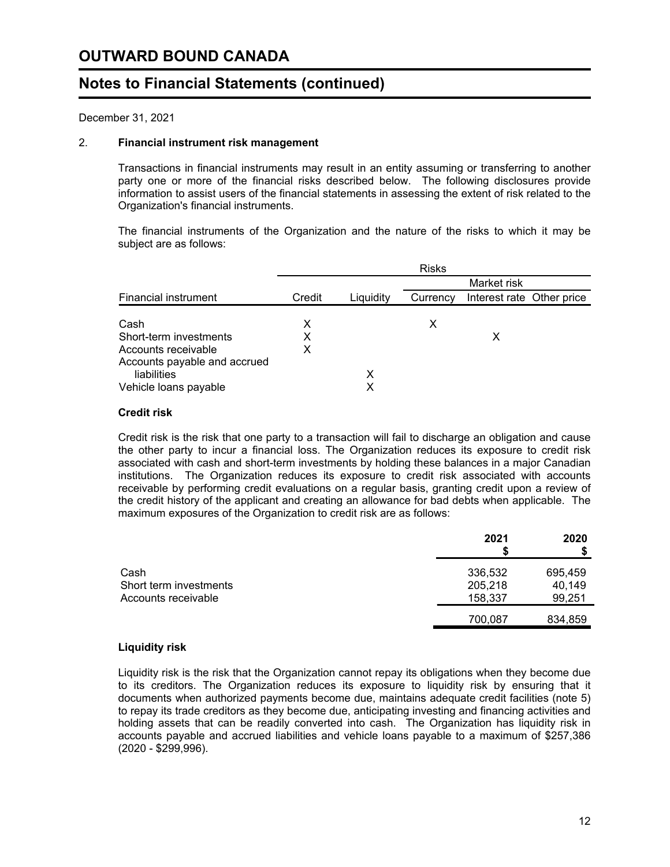### **Notes to Financial Statements (continued)**

December 31, 2021

#### 2. **Financial instrument risk management**

Transactions in financial instruments may result in an entity assuming or transferring to another party one or more of the financial risks described below. The following disclosures provide information to assist users of the financial statements in assessing the extent of risk related to the Organization's financial instruments.

The financial instruments of the Organization and the nature of the risks to which it may be subject are as follows:

|                                                                                                                               |             |           | <b>Risks</b> |                           |  |
|-------------------------------------------------------------------------------------------------------------------------------|-------------|-----------|--------------|---------------------------|--|
|                                                                                                                               |             |           |              | Market risk               |  |
| <b>Financial instrument</b>                                                                                                   | Credit      | Liquidity | Currency     | Interest rate Other price |  |
| Cash<br>Short-term investments<br>Accounts receivable<br>Accounts payable and accrued<br>liabilities<br>Vehicle loans payable | х<br>х<br>х | X<br>х    | X            | X                         |  |

#### **Credit risk**

Credit risk is the risk that one party to a transaction will fail to discharge an obligation and cause the other party to incur a financial loss. The Organization reduces its exposure to credit risk associated with cash and short-term investments by holding these balances in a major Canadian institutions. The Organization reduces its exposure to credit risk associated with accounts receivable by performing credit evaluations on a regular basis, granting credit upon a review of the credit history of the applicant and creating an allowance for bad debts when applicable. The maximum exposures of the Organization to credit risk are as follows:

|                                                       | 2021                          | 2020                        |
|-------------------------------------------------------|-------------------------------|-----------------------------|
| Cash<br>Short term investments<br>Accounts receivable | 336,532<br>205,218<br>158,337 | 695,459<br>40,149<br>99,251 |
|                                                       | 700,087                       | 834,859                     |

#### **Liquidity risk**

Liquidity risk is the risk that the Organization cannot repay its obligations when they become due to its creditors. The Organization reduces its exposure to liquidity risk by ensuring that it documents when authorized payments become due, maintains adequate credit facilities (note 5) to repay its trade creditors as they become due, anticipating investing and financing activities and holding assets that can be readily converted into cash. The Organization has liquidity risk in accounts payable and accrued liabilities and vehicle loans payable to a maximum of \$257,386 (2020 - \$299,996).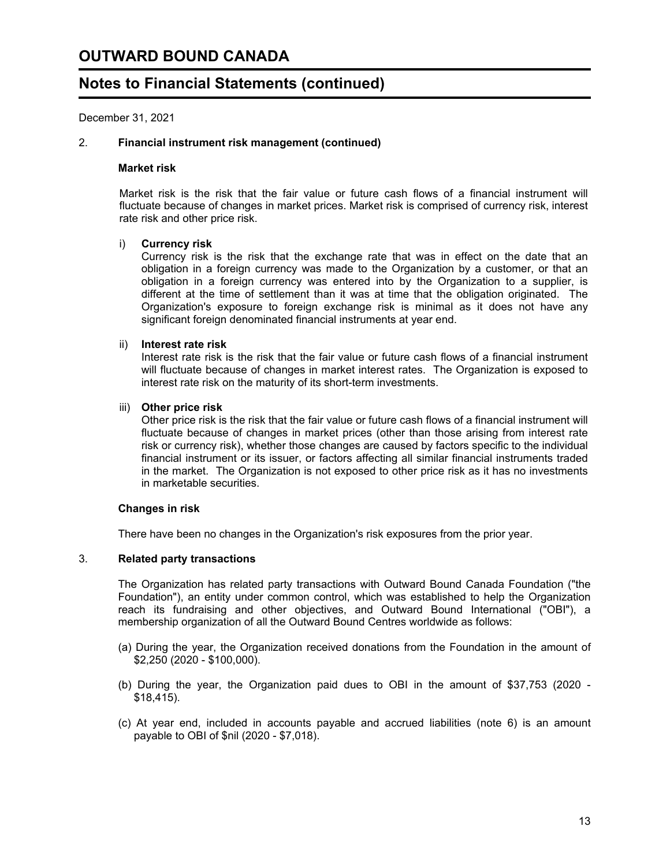### **Notes to Financial Statements (continued)**

#### December 31, 2021

#### 2. **Financial instrument risk management (continued)**

#### **Market risk**

Market risk is the risk that the fair value or future cash flows of a financial instrument will fluctuate because of changes in market prices. Market risk is comprised of currency risk, interest rate risk and other price risk.

#### i) **Currency risk**

Currency risk is the risk that the exchange rate that was in effect on the date that an obligation in a foreign currency was made to the Organization by a customer, or that an obligation in a foreign currency was entered into by the Organization to a supplier, is different at the time of settlement than it was at time that the obligation originated. The Organization's exposure to foreign exchange risk is minimal as it does not have any significant foreign denominated financial instruments at year end.

#### ii) **Interest rate risk**

Interest rate risk is the risk that the fair value or future cash flows of a financial instrument will fluctuate because of changes in market interest rates. The Organization is exposed to interest rate risk on the maturity of its short-term investments.

#### iii) **Other price risk**

Other price risk is the risk that the fair value or future cash flows of a financial instrument will fluctuate because of changes in market prices (other than those arising from interest rate risk or currency risk), whether those changes are caused by factors specific to the individual financial instrument or its issuer, or factors affecting all similar financial instruments traded in the market. The Organization is not exposed to other price risk as it has no investments in marketable securities.

#### **Changes in risk**

There have been no changes in the Organization's risk exposures from the prior year.

#### 3. **Related party transactions**

The Organization has related party transactions with Outward Bound Canada Foundation ("the Foundation"), an entity under common control, which was established to help the Organization reach its fundraising and other objectives, and Outward Bound International ("OBI"), a membership organization of all the Outward Bound Centres worldwide as follows:

- (a) During the year, the Organization received donations from the Foundation in the amount of \$2,250 (2020 - \$100,000).
- (b) During the year, the Organization paid dues to OBI in the amount of \$37,753 (2020 \$18,415).
- (c) At year end, included in accounts payable and accrued liabilities (note 6) is an amount payable to OBI of \$nil (2020 - \$7,018).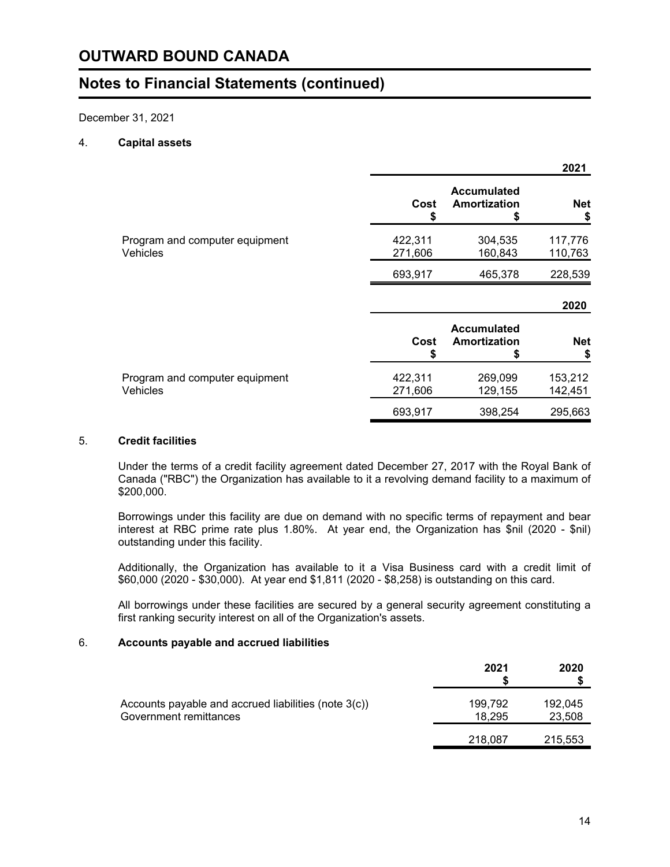### **Notes to Financial Statements (continued)**

December 31, 2021

#### 4. **Capital assets**

|                                |         |                    | 2021       |
|--------------------------------|---------|--------------------|------------|
|                                | Cost    | <b>Accumulated</b> | <b>Net</b> |
|                                | \$      | Amortization       | \$         |
| Program and computer equipment | 422,311 | 304,535            | 117,776    |
| Vehicles                       | 271,606 | 160,843            | 110,763    |
|                                | 693,917 | 465,378            | 228,539    |
|                                |         |                    | 2020       |
|                                | Cost    | <b>Accumulated</b> | <b>Net</b> |
|                                | S       | Amortization       | \$         |
| Program and computer equipment | 422,311 | 269,099            | 153,212    |
| Vehicles                       | 271,606 | 129,155            | 142,451    |
|                                | 693,917 | 398,254            | 295,663    |

#### 5. **Credit facilities**

Under the terms of a credit facility agreement dated December 27, 2017 with the Royal Bank of Canada ("RBC") the Organization has available to it a revolving demand facility to a maximum of \$200,000.

Borrowings under this facility are due on demand with no specific terms of repayment and bear interest at RBC prime rate plus 1.80%. At year end, the Organization has \$nil (2020 - \$nil) outstanding under this facility.

Additionally, the Organization has available to it a Visa Business card with a credit limit of \$60,000 (2020 - \$30,000). At year end \$1,811 (2020 - \$8,258) is outstanding on this card.

All borrowings under these facilities are secured by a general security agreement constituting a first ranking security interest on all of the Organization's assets.

#### 6. **Accounts payable and accrued liabilities**

|                                                                                | 2021              | 2020              |
|--------------------------------------------------------------------------------|-------------------|-------------------|
| Accounts payable and accrued liabilities (note 3(c))<br>Government remittances | 199.792<br>18.295 | 192,045<br>23,508 |
|                                                                                | 218,087           | 215,553           |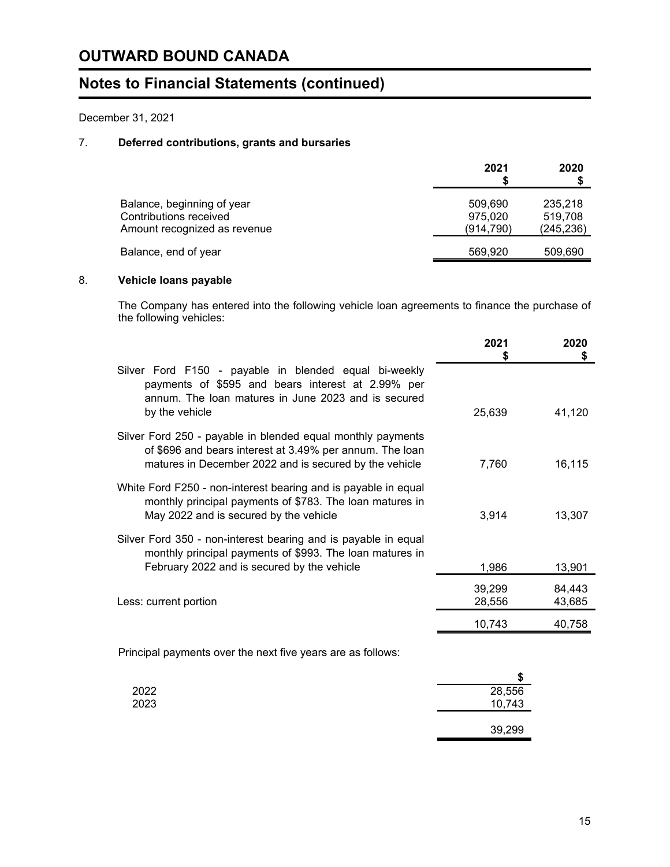### **Notes to Financial Statements (continued)**

#### December 31, 2021

#### 7. **Deferred contributions, grants and bursaries**

|                                                                                      | 2021                             | 2020                             |
|--------------------------------------------------------------------------------------|----------------------------------|----------------------------------|
| Balance, beginning of year<br>Contributions received<br>Amount recognized as revenue | 509.690<br>975,020<br>(914, 790) | 235.218<br>519,708<br>(245, 236) |
| Balance, end of year                                                                 | 569,920                          | 509,690                          |

#### 8. **Vehicle loans payable**

The Company has entered into the following vehicle loan agreements to finance the purchase of the following vehicles:

|                                                                                                                                                                                     | 2021             | 2020<br>S        |
|-------------------------------------------------------------------------------------------------------------------------------------------------------------------------------------|------------------|------------------|
| Silver Ford F150 - payable in blended equal bi-weekly<br>payments of \$595 and bears interest at 2.99% per<br>annum. The loan matures in June 2023 and is secured<br>by the vehicle | 25,639           | 41,120           |
| Silver Ford 250 - payable in blended equal monthly payments<br>of \$696 and bears interest at 3.49% per annum. The loan<br>matures in December 2022 and is secured by the vehicle   | 7,760            | 16,115           |
| White Ford F250 - non-interest bearing and is payable in equal<br>monthly principal payments of \$783. The loan matures in<br>May 2022 and is secured by the vehicle                | 3,914            | 13,307           |
| Silver Ford 350 - non-interest bearing and is payable in equal<br>monthly principal payments of \$993. The loan matures in<br>February 2022 and is secured by the vehicle           | 1,986            | 13,901           |
| Less: current portion                                                                                                                                                               | 39,299<br>28,556 | 84,443<br>43,685 |
|                                                                                                                                                                                     | 10,743           | 40,758           |
| Principal payments over the next five years are as follows:                                                                                                                         |                  |                  |
| 2022                                                                                                                                                                                | 28,556           |                  |

| ---- |  | $-0.000$ |
|------|--|----------|
| 2023 |  | 10,743   |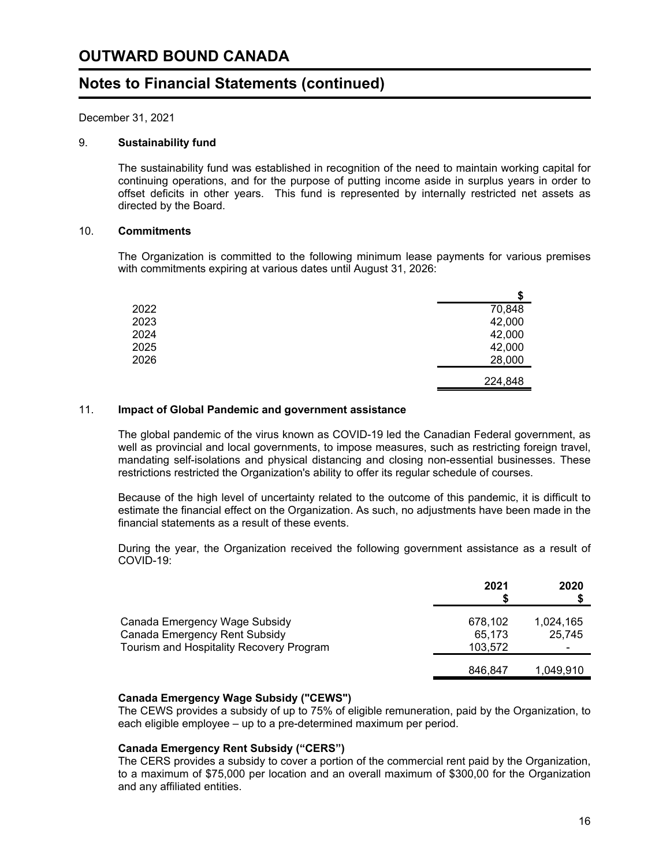### **Notes to Financial Statements (continued)**

December 31, 2021

#### 9. **Sustainability fund**

The sustainability fund was established in recognition of the need to maintain working capital for continuing operations, and for the purpose of putting income aside in surplus years in order to offset deficits in other years. This fund is represented by internally restricted net assets as directed by the Board.

#### 10. **Commitments**

The Organization is committed to the following minimum lease payments for various premises with commitments expiring at various dates until August 31, 2026:

|      | J       |
|------|---------|
| 2022 | 70,848  |
| 2023 | 42,000  |
| 2024 | 42,000  |
| 2025 | 42,000  |
| 2026 | 28,000  |
|      | 224,848 |

#### 11. **Impact of Global Pandemic and government assistance**

The global pandemic of the virus known as COVID-19 led the Canadian Federal government, as well as provincial and local governments, to impose measures, such as restricting foreign travel, mandating self-isolations and physical distancing and closing non-essential businesses. These restrictions restricted the Organization's ability to offer its regular schedule of courses.

Because of the high level of uncertainty related to the outcome of this pandemic, it is difficult to estimate the financial effect on the Organization. As such, no adjustments have been made in the financial statements as a result of these events.

During the year, the Organization received the following government assistance as a result of COVID-19:

|                                                                                                            | 2021                         | 2020                |
|------------------------------------------------------------------------------------------------------------|------------------------------|---------------------|
| Canada Emergency Wage Subsidy<br>Canada Emergency Rent Subsidy<br>Tourism and Hospitality Recovery Program | 678,102<br>65,173<br>103,572 | 1,024,165<br>25,745 |
|                                                                                                            | 846,847                      | 1,049,910           |

#### **Canada Emergency Wage Subsidy ("CEWS")**

The CEWS provides a subsidy of up to 75% of eligible remuneration, paid by the Organization, to each eligible employee – up to a pre-determined maximum per period.

#### **Canada Emergency Rent Subsidy ("CERS")**

The CERS provides a subsidy to cover a portion of the commercial rent paid by the Organization, to a maximum of \$75,000 per location and an overall maximum of \$300,00 for the Organization and any affiliated entities.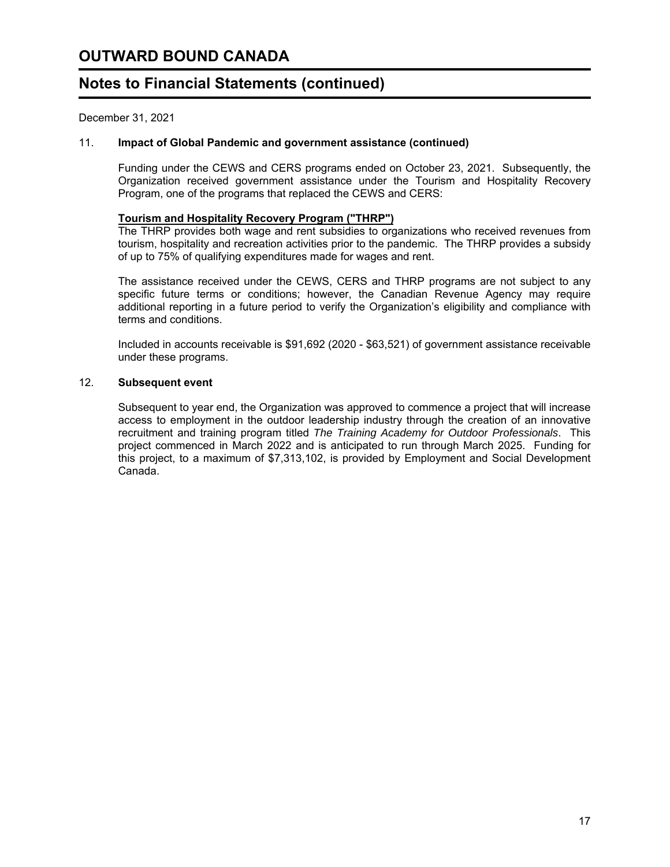### **Notes to Financial Statements (continued)**

December 31, 2021

#### 11. **Impact of Global Pandemic and government assistance (continued)**

Funding under the CEWS and CERS programs ended on October 23, 2021. Subsequently, the Organization received government assistance under the Tourism and Hospitality Recovery Program, one of the programs that replaced the CEWS and CERS:

#### **Tourism and Hospitality Recovery Program ("THRP")**

The THRP provides both wage and rent subsidies to organizations who received revenues from tourism, hospitality and recreation activities prior to the pandemic. The THRP provides a subsidy of up to 75% of qualifying expenditures made for wages and rent.

The assistance received under the CEWS, CERS and THRP programs are not subject to any specific future terms or conditions; however, the Canadian Revenue Agency may require additional reporting in a future period to verify the Organization's eligibility and compliance with terms and conditions.

Included in accounts receivable is \$91,692 (2020 - \$63,521) of government assistance receivable under these programs.

#### 12. **Subsequent event**

Subsequent to year end, the Organization was approved to commence a project that will increase access to employment in the outdoor leadership industry through the creation of an innovative recruitment and training program titled *The Training Academy for Outdoor Professionals*. This project commenced in March 2022 and is anticipated to run through March 2025. Funding for this project, to a maximum of \$7,313,102, is provided by Employment and Social Development Canada.